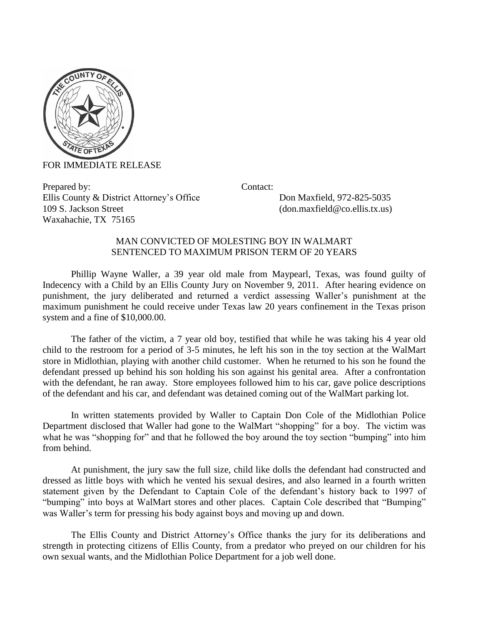

FOR IMMEDIATE RELEASE

Prepared by: Contact: Ellis County & District Attorney's Office Don Maxfield, 972-825-5035 109 S. Jackson Street (don.maxfield@co.ellis.tx.us) Waxahachie, TX 75165

## MAN CONVICTED OF MOLESTING BOY IN WALMART SENTENCED TO MAXIMUM PRISON TERM OF 20 YEARS

Phillip Wayne Waller, a 39 year old male from Maypearl, Texas, was found guilty of Indecency with a Child by an Ellis County Jury on November 9, 2011. After hearing evidence on punishment, the jury deliberated and returned a verdict assessing Waller's punishment at the maximum punishment he could receive under Texas law 20 years confinement in the Texas prison system and a fine of \$10,000.00.

The father of the victim, a 7 year old boy, testified that while he was taking his 4 year old child to the restroom for a period of 3-5 minutes, he left his son in the toy section at the WalMart store in Midlothian, playing with another child customer. When he returned to his son he found the defendant pressed up behind his son holding his son against his genital area. After a confrontation with the defendant, he ran away. Store employees followed him to his car, gave police descriptions of the defendant and his car, and defendant was detained coming out of the WalMart parking lot.

In written statements provided by Waller to Captain Don Cole of the Midlothian Police Department disclosed that Waller had gone to the WalMart "shopping" for a boy. The victim was what he was "shopping for" and that he followed the boy around the toy section "bumping" into him from behind.

At punishment, the jury saw the full size, child like dolls the defendant had constructed and dressed as little boys with which he vented his sexual desires, and also learned in a fourth written statement given by the Defendant to Captain Cole of the defendant's history back to 1997 of "bumping" into boys at WalMart stores and other places. Captain Cole described that "Bumping" was Waller's term for pressing his body against boys and moving up and down.

The Ellis County and District Attorney's Office thanks the jury for its deliberations and strength in protecting citizens of Ellis County, from a predator who preyed on our children for his own sexual wants, and the Midlothian Police Department for a job well done.